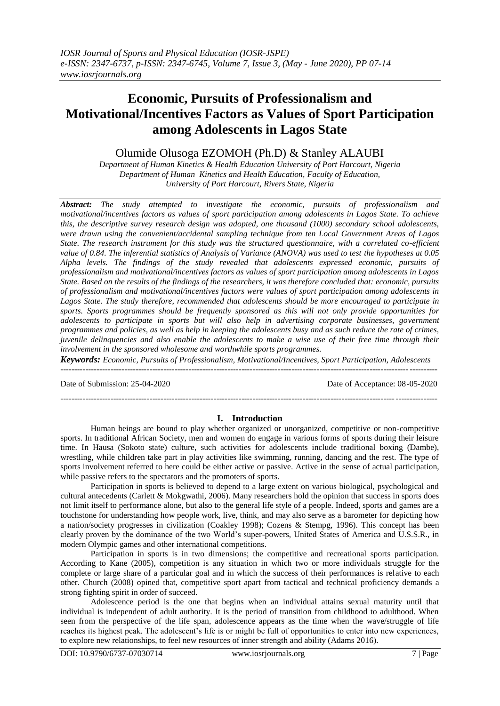# **Economic, Pursuits of Professionalism and Motivational/Incentives Factors as Values of Sport Participation among Adolescents in Lagos State**

# Olumide Olusoga EZOMOH (Ph.D) & Stanley ALAUBI

*Department of Human Kinetics & Health Education University of Port Harcourt, Nigeria Department of Human Kinetics and Health Education, Faculty of Education, University of Port Harcourt, Rivers State, Nigeria*

*Abstract: The study attempted to investigate the economic, pursuits of professionalism and motivational/incentives factors as values of sport participation among adolescents in Lagos State. To achieve this, the descriptive survey research design was adopted, one thousand (1000) secondary school adolescents, were drawn using the convenient/accidental sampling technique from ten Local Government Areas of Lagos State. The research instrument for this study was the structured questionnaire, with a correlated co-efficient value of 0.84. The inferential statistics of Analysis of Variance (ANOVA) was used to test the hypotheses at 0.05 Alpha levels. The findings of the study revealed that adolescents expressed economic, pursuits of professionalism and motivational/incentives factors as values of sport participation among adolescents in Lagos State. Based on the results of the findings of the researchers, it was therefore concluded that: economic, pursuits of professionalism and motivational/incentives factors were values of sport participation among adolescents in Lagos State. The study therefore, recommended that adolescents should be more encouraged to participate in sports. Sports programmes should be frequently sponsored as this will not only provide opportunities for adolescents to participate in sports but will also help in advertising corporate businesses, government programmes and policies, as well as help in keeping the adolescents busy and as such reduce the rate of crimes, juvenile delinquencies and also enable the adolescents to make a wise use of their free time through their involvement in the sponsored wholesome and worthwhile sports programmes.*

*Keywords: Economic, Pursuits of Professionalism, Motivational/Incentives, Sport Participation, Adolescents* ---------------------------------------------------------------------------------------------------------------------------------------

Date of Submission: 25-04-2020 Date of Acceptance: 08-05-2020

# **I. Introduction**

---------------------------------------------------------------------------------------------------------------------------------------

Human beings are bound to play whether organized or unorganized, competitive or non-competitive sports. In traditional African Society, men and women do engage in various forms of sports during their leisure time. In Hausa (Sokoto state) culture, such activities for adolescents include traditional boxing (Dambe), wrestling, while children take part in play activities like swimming, running, dancing and the rest. The type of sports involvement referred to here could be either active or passive. Active in the sense of actual participation, while passive refers to the spectators and the promoters of sports.

Participation in sports is believed to depend to a large extent on various biological, psychological and cultural antecedents (Carlett & Mokgwathi, 2006). Many researchers hold the opinion that success in sports does not limit itself to performance alone, but also to the general life style of a people. Indeed, sports and games are a touchstone for understanding how people work, live, think, and may also serve as a barometer for depicting how a nation/society progresses in civilization (Coakley 1998); Cozens & Stempg, 1996). This concept has been clearly proven by the dominance of the two World's super-powers, United States of America and U.S.S.R., in modern Olympic games and other international competitions.

Participation in sports is in two dimensions; the competitive and recreational sports participation. According to Kane (2005), competition is any situation in which two or more individuals struggle for the complete or large share of a particular goal and in which the success of their performances is relative to each other. Church (2008) opined that, competitive sport apart from tactical and technical proficiency demands a strong fighting spirit in order of succeed.

Adolescence period is the one that begins when an individual attains sexual maturity until that individual is independent of adult authority. It is the period of transition from childhood to adulthood. When seen from the perspective of the life span, adolescence appears as the time when the wave/struggle of life reaches its highest peak. The adolescent's life is or might be full of opportunities to enter into new experiences, to explore new relationships, to feel new resources of inner strength and ability (Adams 2016).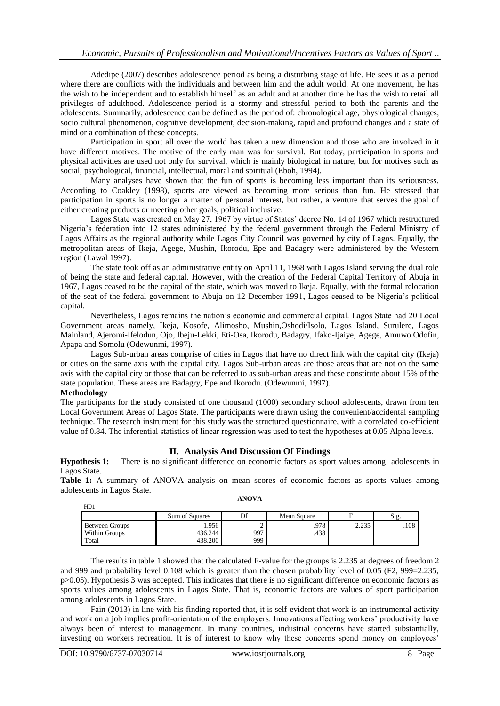Adedipe (2007) describes adolescence period as being a disturbing stage of life. He sees it as a period where there are conflicts with the individuals and between him and the adult world. At one movement, he has the wish to be independent and to establish himself as an adult and at another time he has the wish to retail all privileges of adulthood. Adolescence period is a stormy and stressful period to both the parents and the adolescents. Summarily, adolescence can be defined as the period of: chronological age, physiological changes, socio cultural phenomenon, cognitive development, decision-making, rapid and profound changes and a state of mind or a combination of these concepts.

Participation in sport all over the world has taken a new dimension and those who are involved in it have different motives. The motive of the early man was for survival. But today, participation in sports and physical activities are used not only for survival, which is mainly biological in nature, but for motives such as social, psychological, financial, intellectual, moral and spiritual (Eboh, 1994).

Many analyses have shown that the fun of sports is becoming less important than its seriousness. According to Coakley (1998), sports are viewed as becoming more serious than fun. He stressed that participation in sports is no longer a matter of personal interest, but rather, a venture that serves the goal of either creating products or meeting other goals, political inclusive.

Lagos State was created on May 27, 1967 by virtue of States' decree No. 14 of 1967 which restructured Nigeria's federation into 12 states administered by the federal government through the Federal Ministry of Lagos Affairs as the regional authority while Lagos City Council was governed by city of Lagos. Equally, the metropolitan areas of Ikeja, Agege, Mushin, Ikorodu, Epe and Badagry were administered by the Western region (Lawal 1997).

The state took off as an administrative entity on April 11, 1968 with Lagos Island serving the dual role of being the state and federal capital. However, with the creation of the Federal Capital Territory of Abuja in 1967, Lagos ceased to be the capital of the state, which was moved to Ikeja. Equally, with the formal relocation of the seat of the federal government to Abuja on 12 December 1991, Lagos ceased to be Nigeria's political capital.

Nevertheless, Lagos remains the nation's economic and commercial capital. Lagos State had 20 Local Government areas namely, Ikeja, Kosofe, Alimosho, Mushin,Oshodi/Isolo, Lagos Island, Surulere, Lagos Mainland, Ajeromi-Ifelodun, Ojo, Ibeju-Lekki, Eti-Osa, Ikorodu, Badagry, Ifako-Ijaiye, Agege, Amuwo Odofin, Apapa and Somolu (Odewunmi, 1997).

Lagos Sub-urban areas comprise of cities in Lagos that have no direct link with the capital city (Ikeja) or cities on the same axis with the capital city. Lagos Sub-urban areas are those areas that are not on the same axis with the capital city or those that can be referred to as sub-urban areas and these constitute about 15% of the state population. These areas are Badagry, Epe and Ikorodu. (Odewunmi, 1997).

### **Methodology**

The participants for the study consisted of one thousand (1000) secondary school adolescents, drawn from ten Local Government Areas of Lagos State. The participants were drawn using the convenient/accidental sampling technique. The research instrument for this study was the structured questionnaire, with a correlated co-efficient value of 0.84. The inferential statistics of linear regression was used to test the hypotheses at 0.05 Alpha levels.

## **II. Analysis And Discussion Of Findings**

**Hypothesis 1:** There is no significant difference on economic factors as sport values among adolescents in Lagos State.

Table 1: A summary of ANOVA analysis on mean scores of economic factors as sports values among adolescents in Lagos State. **ANOVA**

| H <sub>01</sub> |                |     |             |               |      |
|-----------------|----------------|-----|-------------|---------------|------|
|                 | Sum of Squares |     | Mean Square |               | Sig  |
| Between Groups  | . 956          |     | .978        | 225<br>ہ رے.∠ | .108 |
| Within Groups   | 436.244        | 997 | .438        |               |      |
| Total           | 438.200        | 999 |             |               |      |

The results in table 1 showed that the calculated F-value for the groups is 2.235 at degrees of freedom 2 and 999 and probability level 0.108 which is greater than the chosen probability level of 0.05 (F2, 999=2.235, p>0.05). Hypothesis 3 was accepted. This indicates that there is no significant difference on economic factors as sports values among adolescents in Lagos State. That is, economic factors are values of sport participation among adolescents in Lagos State.

Fain (2013) in line with his finding reported that, it is self-evident that work is an instrumental activity and work on a job implies profit-orientation of the employers. Innovations affecting workers' productivity have always been of interest to management. In many countries, industrial concerns have started substantially, investing on workers recreation. It is of interest to know why these concerns spend money on employees'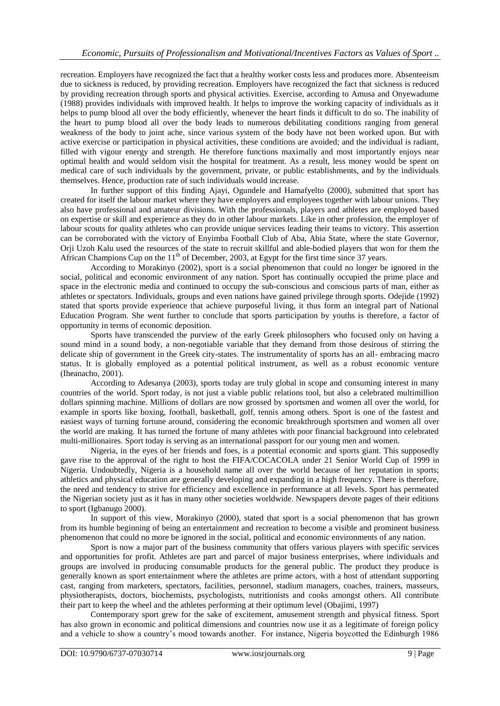recreation. Employers have recognized the fact that a healthy worker costs less and produces more. Absenteeism due to sickness is reduced, by providing recreation. Employers have recognized the fact that sickness is reduced by providing recreation through sports and physical activities. Exercise, according to Amusa and Onyewadume (1988) provides individuals with improved health. It helps to improve the working capacity of individuals as it helps to pump blood all over the body efficiently, whenever the heart finds it difficult to do so. The inability of the heart to pump blood all over the body leads to numerous debilitating conditions ranging from general weakness of the body to joint ache, since various system of the body have not been worked upon. But with active exercise or participation in physical activities, these conditions are avoided; and the individual is radiant, filled with vigour energy and strength. He therefore functions maximally and most importantly enjoys near optimal health and would seldom visit the hospital for treatment. As a result, less money would be spent on medical care of such individuals by the government, private, or public establishments, and by the individuals themselves. Hence, production rate of such individuals would increase.

In further support of this finding Ajayi, Ogundele and Hamafyelto (2000), submitted that sport has created for itself the labour market where they have employers and employees together with labour unions. They also have professional and amateur divisions. With the professionals, players and athletes are employed based on expertise or skill and experience as they do in other labour markets. Like in other profession, the employer of labour scouts for quality athletes who can provide unique services leading their teams to victory. This assertion can be corroborated with the victory of Enyimba Football Club of Aba, Abia State, where the state Governor, Orji Uzoh Kalu used the resources of the state to recruit skillful and able-bodied players that won for them the African Champions Cup on the  $11<sup>th</sup>$  of December, 2003, at Egypt for the first time since 37 years.

According to Morakinyo (2002), sport is a social phenomenon that could no longer be ignored in the social, political and economic environment of any nation. Sport has continually occupied the prime place and space in the electronic media and continued to occupy the sub-conscious and conscious parts of man, either as athletes or spectators. Individuals, groups and even nations have gained privilege through sports. Odejide (1992) stated that sports provide experience that achieve purposeful living, it thus form an integral part of National Education Program. She went further to conclude that sports participation by youths is therefore, a factor of opportunity in terms of economic deposition.

Sports have transcended the purview of the early Greek philosophers who focused only on having a sound mind in a sound body, a non-negotiable variable that they demand from those desirous of stirring the delicate ship of government in the Greek city-states. The instrumentality of sports has an all- embracing macro status. It is globally employed as a potential political instrument, as well as a robust economic venture (Iheanacho, 2001).

According to Adesanya (2003), sports today are truly global in scope and consuming interest in many countries of the world. Sport today, is not just a viable public relations tool, but also a celebrated multimillion dollars spinning machine. Millions of dollars are now grossed by sportsmen and women all over the world, for example in sports like boxing, football, basketball, golf, tennis among others. Sport is one of the fastest and easiest ways of turning fortune around, considering the economic breakthrough sportsmen and women all over the world are making. It has turned the fortune of many athletes with poor financial background into celebrated multi-millionaires. Sport today is serving as an international passport for our young men and women.

Nigeria, in the eyes of her friends and foes, is a potential economic and sports giant. This supposedly gave rise to the approval of the right to host the FIFA/COCACOLA under 21 Senior World Cup of 1999 in Nigeria. Undoubtedly, Nigeria is a household name all over the world because of her reputation in sports; athletics and physical education are generally developing and expanding in a high frequency. There is therefore, the need and tendency to strive for efficiency and excellence in performance at all levels. Sport has permeated the Nigerian society just as it has in many other societies worldwide. Newspapers devote pages of their editions to sport (Igbanugo 2000).

In support of this view, Morakinyo (2000), stated that sport is a social phenomenon that has grown from its humble beginning of being an entertainment and recreation to become a visible and prominent business phenomenon that could no more be ignored in the social, political and economic environments of any nation.

Sport is now a major part of the business community that offers various players with specific services and opportunities for profit. Athletes are part and parcel of major business enterprises, where individuals and groups are involved in producing consumable products for the general public. The product they produce is generally known as sport entertainment where the athletes are prime actors, with a host of attendant supporting cast, ranging from marketers, spectators, facilities, personnel, stadium managers, coaches, trainers, masseurs, physiotherapists, doctors, biochemists, psychologists, nutritionists and cooks amongst others. All contribute their part to keep the wheel and the athletes performing at their optimum level (Obajimi, 1997)

Contemporary sport grew for the sake of excitement, amusement strength and physical fitness. Sport has also grown in economic and political dimensions and countries now use it as a legitimate of foreign policy and a vehicle to show a country's mood towards another. For instance, Nigeria boycotted the Edinburgh 1986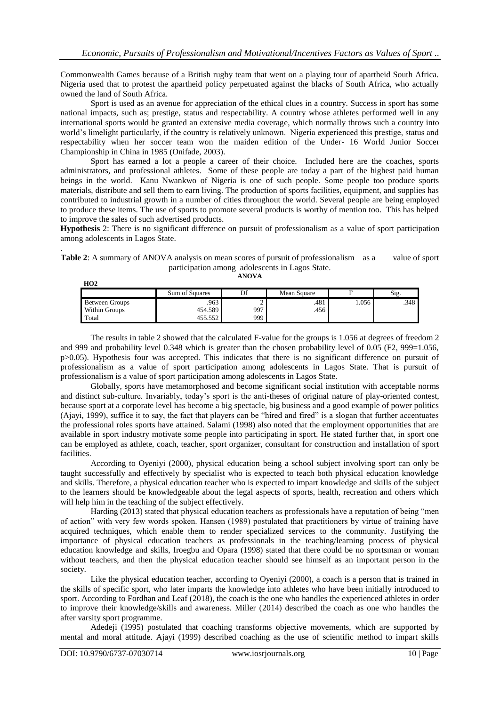Commonwealth Games because of a British rugby team that went on a playing tour of apartheid South Africa. Nigeria used that to protest the apartheid policy perpetuated against the blacks of South Africa, who actually owned the land of South Africa.

Sport is used as an avenue for appreciation of the ethical clues in a country. Success in sport has some national impacts, such as; prestige, status and respectability. A country whose athletes performed well in any international sports would be granted an extensive media coverage, which normally throws such a country into world's limelight particularly, if the country is relatively unknown. Nigeria experienced this prestige, status and respectability when her soccer team won the maiden edition of the Under- 16 World Junior Soccer Championship in China in 1985 (Onifade, 2003).

Sport has earned a lot a people a career of their choice. Included here are the coaches, sports administrators, and professional athletes. Some of these people are today a part of the highest paid human beings in the world. Kanu Nwankwo of Nigeria is one of such people. Some people too produce sports materials, distribute and sell them to earn living. The production of sports facilities, equipment, and supplies has contributed to industrial growth in a number of cities throughout the world. Several people are being employed to produce these items. The use of sports to promote several products is worthy of mention too. This has helped to improve the sales of such advertised products.

**Hypothesis** 2: There is no significant difference on pursuit of professionalism as a value of sport participation among adolescents in Lagos State.

**Table 2**: A summary of ANOVA analysis on mean scores of pursuit of professionalism as a value of sport participation among adolescents in Lagos State.

**ANOVA**

|                       | Sum of Squares | Df  | Mean Square |      | $\sim$<br>S1g. |
|-----------------------|----------------|-----|-------------|------|----------------|
| <b>Between Groups</b> | .963           |     | .481        | .056 | .348           |
| <b>Within Groups</b>  | 454.589        | 997 | .456        |      |                |
| Total                 | 55.557         | 999 |             |      |                |

The results in table 2 showed that the calculated F-value for the groups is 1.056 at degrees of freedom 2 and 999 and probability level 0.348 which is greater than the chosen probability level of 0.05 (F2, 999=1.056, p>0.05). Hypothesis four was accepted. This indicates that there is no significant difference on pursuit of professionalism as a value of sport participation among adolescents in Lagos State. That is pursuit of professionalism is a value of sport participation among adolescents in Lagos State.

Globally, sports have metamorphosed and become significant social institution with acceptable norms and distinct sub-culture. Invariably, today's sport is the anti-theses of original nature of play-oriented contest, because sport at a corporate level has become a big spectacle, big business and a good example of power politics (Ajayi, 1999), suffice it to say, the fact that players can be "hired and fired" is a slogan that further accentuates the professional roles sports have attained. Salami (1998) also noted that the employment opportunities that are available in sport industry motivate some people into participating in sport. He stated further that, in sport one can be employed as athlete, coach, teacher, sport organizer, consultant for construction and installation of sport facilities.

According to Oyeniyi (2000), physical education being a school subject involving sport can only be taught successfully and effectively by specialist who is expected to teach both physical education knowledge and skills. Therefore, a physical education teacher who is expected to impart knowledge and skills of the subject to the learners should be knowledgeable about the legal aspects of sports, health, recreation and others which will help him in the teaching of the subject effectively.

Harding (2013) stated that physical education teachers as professionals have a reputation of being "men of action" with very few words spoken. Hansen (1989) postulated that practitioners by virtue of training have acquired techniques, which enable them to render specialized services to the community. Justifying the importance of physical education teachers as professionals in the teaching/learning process of physical education knowledge and skills, Iroegbu and Opara (1998) stated that there could be no sportsman or woman without teachers, and then the physical education teacher should see himself as an important person in the society.

Like the physical education teacher, according to Oyeniyi (2000), a coach is a person that is trained in the skills of specific sport, who later imparts the knowledge into athletes who have been initially introduced to sport. According to Fordhan and Leaf (2018), the coach is the one who handles the experienced athletes in order to improve their knowledge/skills and awareness. Miller (2014) described the coach as one who handles the after varsity sport programme.

Adedeji (1995) postulated that coaching transforms objective movements, which are supported by mental and moral attitude. Ajayi (1999) described coaching as the use of scientific method to impart skills

.

**HO2**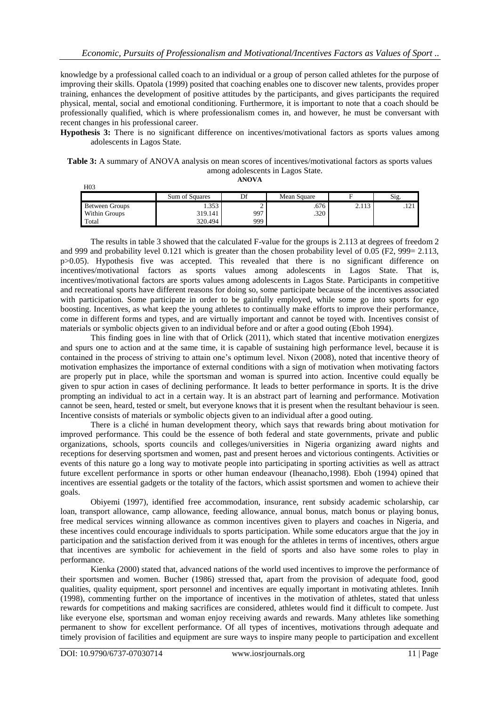knowledge by a professional called coach to an individual or a group of person called athletes for the purpose of improving their skills. Opatola (1999) posited that coaching enables one to discover new talents, provides proper training, enhances the development of positive attitudes by the participants, and gives participants the required physical, mental, social and emotional conditioning. Furthermore, it is important to note that a coach should be professionally qualified, which is where professionalism comes in, and however, he must be conversant with recent changes in his professional career.

**Hypothesis 3:** There is no significant difference on incentives/motivational factors as sports values among adolescents in Lagos State.

#### **Table 3:** A summary of ANOVA analysis on mean scores of incentives/motivational factors as sports values among adolescents in Lagos State. **ANOVA**

| H <sub>0</sub> 3      |                       |     |             |       |      |
|-----------------------|-----------------------|-----|-------------|-------|------|
|                       | <b>Sum of Squares</b> | Df  | Mean Square |       | Sig. |
| <b>Between Groups</b> | 1.353                 |     | .676        | 2.113 | .121 |
| Within Groups         | 319.141               | 997 | .320        |       |      |
| Total                 | 320.494               | 999 |             |       |      |

Total 320.494 999

The results in table 3 showed that the calculated F-value for the groups is 2.113 at degrees of freedom 2 and 999 and probability level 0.121 which is greater than the chosen probability level of 0.05 (F2, 999= 2.113, p>0.05). Hypothesis five was accepted. This revealed that there is no significant difference on incentives/motivational factors as sports values among adolescents in Lagos State. That is, incentives/motivational factors are sports values among adolescents in Lagos State. Participants in competitive and recreational sports have different reasons for doing so, some participate because of the incentives associated with participation. Some participate in order to be gainfully employed, while some go into sports for ego boosting. Incentives, as what keep the young athletes to continually make efforts to improve their performance, come in different forms and types, and are virtually important and cannot be toyed with. Incentives consist of materials or symbolic objects given to an individual before and or after a good outing (Eboh 1994).

This finding goes in line with that of Orlick (2011), which stated that incentive motivation energizes and spurs one to action and at the same time, it is capable of sustaining high performance level, because it is contained in the process of striving to attain one's optimum level. Nixon (2008), noted that incentive theory of motivation emphasizes the importance of external conditions with a sign of motivation when motivating factors are properly put in place, while the sportsman and woman is spurred into action. Incentive could equally be given to spur action in cases of declining performance. It leads to better performance in sports. It is the drive prompting an individual to act in a certain way. It is an abstract part of learning and performance. Motivation cannot be seen, heard, tested or smelt, but everyone knows that it is present when the resultant behaviour is seen. Incentive consists of materials or symbolic objects given to an individual after a good outing.

There is a cliché in human development theory, which says that rewards bring about motivation for improved performance. This could be the essence of both federal and state governments, private and public organizations, schools, sports councils and colleges/universities in Nigeria organizing award nights and receptions for deserving sportsmen and women, past and present heroes and victorious contingents. Activities or events of this nature go a long way to motivate people into participating in sporting activities as well as attract future excellent performance in sports or other human endeavour (Iheanacho,1998). Eboh (1994) opined that incentives are essential gadgets or the totality of the factors, which assist sportsmen and women to achieve their goals.

Obiyemi (1997), identified free accommodation, insurance, rent subsidy academic scholarship, car loan, transport allowance, camp allowance, feeding allowance, annual bonus, match bonus or playing bonus, free medical services winning allowance as common incentives given to players and coaches in Nigeria, and these incentives could encourage individuals to sports participation. While some educators argue that the joy in participation and the satisfaction derived from it was enough for the athletes in terms of incentives, others argue that incentives are symbolic for achievement in the field of sports and also have some roles to play in performance.

Kienka (2000) stated that, advanced nations of the world used incentives to improve the performance of their sportsmen and women. Bucher (1986) stressed that, apart from the provision of adequate food, good qualities, quality equipment, sport personnel and incentives are equally important in motivating athletes. Innih (1998), commenting further on the importance of incentives in the motivation of athletes, stated that unless rewards for competitions and making sacrifices are considered, athletes would find it difficult to compete. Just like everyone else, sportsman and woman enjoy receiving awards and rewards. Many athletes like something permanent to show for excellent performance. Of all types of incentives, motivations through adequate and timely provision of facilities and equipment are sure ways to inspire many people to participation and excellent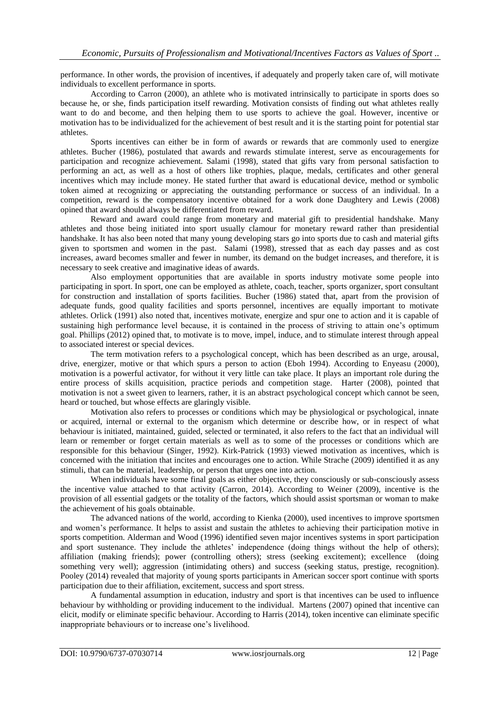performance. In other words, the provision of incentives, if adequately and properly taken care of, will motivate individuals to excellent performance in sports.

According to Carron (2000), an athlete who is motivated intrinsically to participate in sports does so because he, or she, finds participation itself rewarding. Motivation consists of finding out what athletes really want to do and become, and then helping them to use sports to achieve the goal. However, incentive or motivation has to be individualized for the achievement of best result and it is the starting point for potential star athletes.

Sports incentives can either be in form of awards or rewards that are commonly used to energize athletes. Bucher (1986), postulated that awards and rewards stimulate interest, serve as encouragements for participation and recognize achievement. Salami (1998), stated that gifts vary from personal satisfaction to performing an act, as well as a host of others like trophies, plaque, medals, certificates and other general incentives which may include money. He stated further that award is educational device, method or symbolic token aimed at recognizing or appreciating the outstanding performance or success of an individual. In a competition, reward is the compensatory incentive obtained for a work done Daughtery and Lewis (2008) opined that award should always be differentiated from reward.

Reward and award could range from monetary and material gift to presidential handshake. Many athletes and those being initiated into sport usually clamour for monetary reward rather than presidential handshake. It has also been noted that many young developing stars go into sports due to cash and material gifts given to sportsmen and women in the past. Salami (1998), stressed that as each day passes and as cost increases, award becomes smaller and fewer in number, its demand on the budget increases, and therefore, it is necessary to seek creative and imaginative ideas of awards.

Also employment opportunities that are available in sports industry motivate some people into participating in sport. In sport, one can be employed as athlete, coach, teacher, sports organizer, sport consultant for construction and installation of sports facilities. Bucher (1986) stated that, apart from the provision of adequate funds, good quality facilities and sports personnel, incentives are equally important to motivate athletes. Orlick (1991) also noted that, incentives motivate, energize and spur one to action and it is capable of sustaining high performance level because, it is contained in the process of striving to attain one's optimum goal. Phillips (2012) opined that, to motivate is to move, impel, induce, and to stimulate interest through appeal to associated interest or special devices.

The term motivation refers to a psychological concept, which has been described as an urge, arousal, drive, energizer, motive or that which spurs a person to action (Eboh 1994). According to Enyeasu (2000), motivation is a powerful activator, for without it very little can take place. It plays an important role during the entire process of skills acquisition, practice periods and competition stage. Harter (2008), pointed that motivation is not a sweet given to learners, rather, it is an abstract psychological concept which cannot be seen, heard or touched, but whose effects are glaringly visible.

Motivation also refers to processes or conditions which may be physiological or psychological, innate or acquired, internal or external to the organism which determine or describe how, or in respect of what behaviour is initiated, maintained, guided, selected or terminated, it also refers to the fact that an individual will learn or remember or forget certain materials as well as to some of the processes or conditions which are responsible for this behaviour (Singer, 1992). Kirk-Patrick (1993) viewed motivation as incentives, which is concerned with the initiation that incites and encourages one to action. While Strache (2009) identified it as any stimuli, that can be material, leadership, or person that urges one into action.

When individuals have some final goals as either objective, they consciously or sub-consciously assess the incentive value attached to that activity (Carron, 2014). According to Weiner (2009), incentive is the provision of all essential gadgets or the totality of the factors, which should assist sportsman or woman to make the achievement of his goals obtainable.

The advanced nations of the world, according to Kienka (2000), used incentives to improve sportsmen and women's performance. It helps to assist and sustain the athletes to achieving their participation motive in sports competition. Alderman and Wood (1996) identified seven major incentives systems in sport participation and sport sustenance. They include the athletes' independence (doing things without the help of others); affiliation (making friends); power (controlling others); stress (seeking excitement); excellence (doing something very well); aggression (intimidating others) and success (seeking status, prestige, recognition). Pooley (2014) revealed that majority of young sports participants in American soccer sport continue with sports participation due to their affiliation, excitement, success and sport stress.

A fundamental assumption in education, industry and sport is that incentives can be used to influence behaviour by withholding or providing inducement to the individual. Martens (2007) opined that incentive can elicit, modify or eliminate specific behaviour. According to Harris (2014), token incentive can eliminate specific inappropriate behaviours or to increase one's livelihood.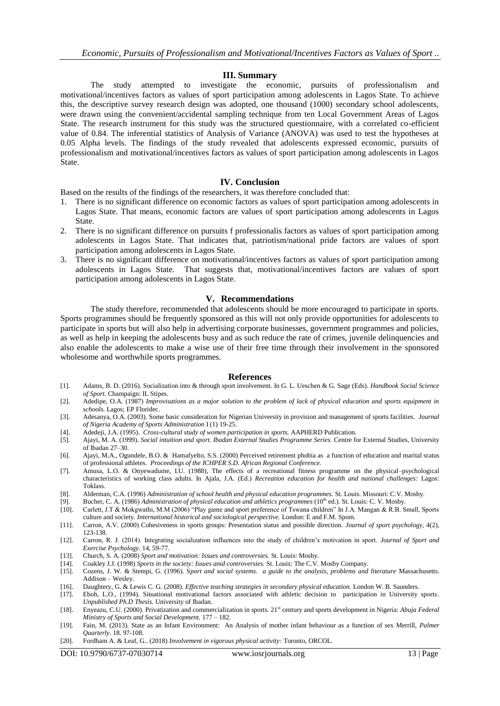#### **III. Summary**

The study attempted to investigate the economic, pursuits of professionalism and motivational/incentives factors as values of sport participation among adolescents in Lagos State. To achieve this, the descriptive survey research design was adopted, one thousand (1000) secondary school adolescents, were drawn using the convenient/accidental sampling technique from ten Local Government Areas of Lagos State. The research instrument for this study was the structured questionnaire, with a correlated co-efficient value of 0.84. The inferential statistics of Analysis of Variance (ANOVA) was used to test the hypotheses at 0.05 Alpha levels. The findings of the study revealed that adolescents expressed economic, pursuits of professionalism and motivational/incentives factors as values of sport participation among adolescents in Lagos State.

### **IV. Conclusion**

Based on the results of the findings of the researchers, it was therefore concluded that:

- 1. There is no significant difference on economic factors as values of sport participation among adolescents in Lagos State. That means, economic factors are values of sport participation among adolescents in Lagos State.
- 2. There is no significant difference on pursuits f professionalis factors as values of sport participation among adolescents in Lagos State. That indicates that, patriotism/national pride factors are values of sport participation among adolescents in Lagos State.
- 3. There is no significant difference on motivational/incentives factors as values of sport participation among adolescents in Lagos State. That suggests that, motivational/incentives factors are values of sport participation among adolescents in Lagos State.

### **V. Recommendations**

The study therefore, recommended that adolescents should be more encouraged to participate in sports. Sports programmes should be frequently sponsored as this will not only provide opportunities for adolescents to participate in sports but will also help in advertising corporate businesses, government programmes and policies, as well as help in keeping the adolescents busy and as such reduce the rate of crimes, juvenile delinquencies and also enable the adolescents to make a wise use of their free time through their involvement in the sponsored wholesome and worthwhile sports programmes.

#### **References**

- [1]. Adams, B. D. (2016). Socialization into & through sport involvement. In G. L. Ueschen & G. Sage (Eds). *Handbook Social Science of Sport.* Champaign: IL Stipes.
- [2]. Adedipe, O.A. (1987) *Improvisations as a major solution to the problem of lack of physical education and sports equipment in schools.* Lagos; EP Floridec.
- [3]. Adesanya, O.A. (2003). Some basic consideration for Nigerian University in provision and management of sports facilities. *Journal of Nigeria Academy of Sports Administration* I (1) 19-25.
- [4]. Adedeji, J.A. (1995). *Cross-cultural study of women participation in sports.* AAPHERD Publication.
- [5]. Ajayi, M. A. (1999). *Social intuition and sport. Ibadan External Studies Programme Series.* Centre for External Studies, University of Ibadan 27–30.
- [6]. Ajayi, M.A., Ogundele, B.O. & Hamafyelto, S.S. (2000) Perceived retirement phobia as a function of education and marital status of professional athletes. *Proceedings of the ICHPER S.D. African Regional Conference.*
- [7]. Amusa, L.O. & Onyewadume, I.U. (1988), The effects of a recreational fitness programme on the physical–psychological characteristics of working class adults. In Ajala, J.A. (Ed.) *Recreation education for health and national challenges:* Lagos: Toklass.
- [8]. Alderman, C.A. (1996) *Administration of school health and physical education programmes.* St. Louis. Missouri: C.V. Mosby.
- [9]. Bucher, C. A. (1986) Administration of physical education and athletics programmes (10<sup>th</sup> ed.). St. Louis: C. V. Mosby.
- [10]. Carlett, J.T & Mokgwathi, M.M (2006) "Play game and sport preference of Tswana children" In J.A. Mangan & R.B. Small, Sports culture and society. *International historical and sociological perspective.* London: E and F.M. Spom.
- [11]. Carron, A.V. (2000) Cohesiveness in sports groups: Presentation status and possible direction. *Journal of sport psychology,* 4(2), 123-138.
- [12]. Carron, R. J. (2014). Integrating socialization influences into the study of children's motivation in sport. *Journal of Sport and Exercise Psychology.* 14, 59-77.
- [13]. Church, S. A. (2008) *Sport and motivation: Issues and controversies.* St. Louis: Mosby.
- [14]. Coakley J.J. (1998) *Sports in the society: Issues anid controversies.* St. Louis: The C.V. Mosby Company.
- [15]. Cozens, J. W. & Stempi, G. (1996). S*port and social systems. a guide to the analysis, problems and literature* Massachusetts. Addison – Wesley.
- [16]. Daughtery, G. & Lewis C. G. (2008). *Effective teaching strategies in secondary physical education.* London W. B. Saunders.
- [17]. Eboh, L.O., (1994). Situational motivational factors associated with athletic decision to participation in University sports. *Unpublished Ph.D Thesis.* University of Ibadan.
- [18]. Enyeazu, C.U. (2000). Privatization and commercialization in sports. 21st century and sports development in Nigeria: *Abuja Federal Ministry of Sports and Social Development.* 177 – 182.
- [19]. Fain, M. (2013). State as an Infant Environment: An Analysis of mother infant behaviour as a function of sex Merrill, *Palmer Quarterly*. 18. 97-108.
- [20]. Fordham A. & Leaf, G.. (2018) *Involvement in vigorous physical activity:* Toronto, ORCOL.

DOI: 10.9790/6737-07030714 www.iosrjournals.org 13 | Page